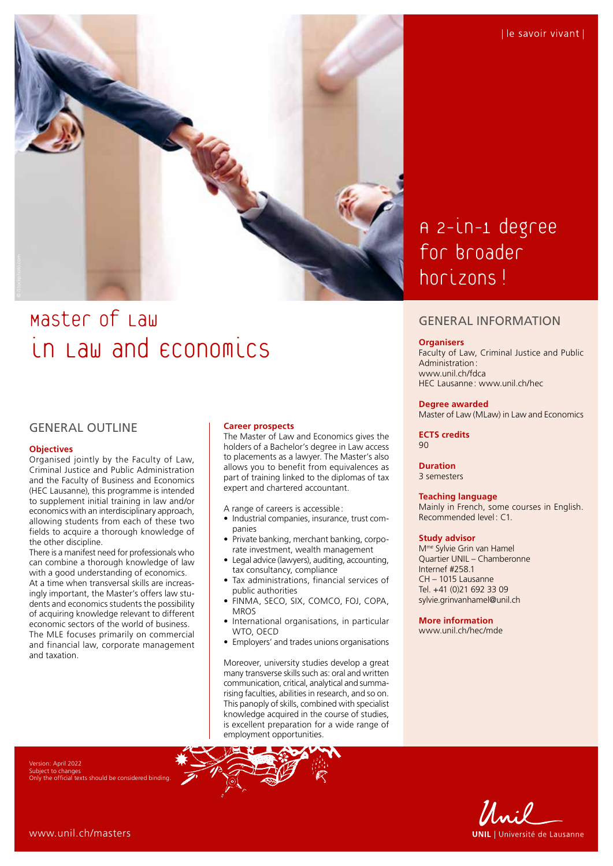

# Master of Law in Law and economics

## GENERAL OUTLINE

#### **Objectives**

Organised jointly by the Faculty of Law, Criminal Justice and Public Administration and the Faculty of Business and Economics (HEC Lausanne), this programme is intended to supplement initial training in law and/or economics with an interdisciplinary approach, allowing students from each of these two fields to acquire a thorough knowledge of the other discipline.

There is a manifest need for professionals who can combine a thorough knowledge of law with a good understanding of economics. At a time when transversal skills are increasingly important, the Master's offers law students and economics students the possibility of acquiring knowledge relevant to different economic sectors of the world of business. The MLE focuses primarily on commercial and financial law, corporate management and taxation.

#### **Career prospects**

The Master of Law and Economics gives the holders of a Bachelor's degree in Law access to placements as a lawyer. The Master's also allows you to benefit from equivalences as part of training linked to the diplomas of tax expert and chartered accountant.

A range of careers is accessible:

- Industrial companies, insurance, trust companies
- Private banking, merchant banking, corporate investment, wealth management
- Legal advice (lawyers), auditing, accounting, tax consultancy, compliance
- Tax administrations, financial services of public authorities
- FINMA, SECO, SIX, COMCO, FOJ, COPA, MROS
- International organisations, in particular WTO, OECD
- Employers' and trades unions organisations

Moreover, university studies develop a great many transverse skills such as: oral and written communication, critical, analytical and summarising faculties, abilities in research, and so on. This panoply of skills, combined with specialist knowledge acquired in the course of studies, is excellent preparation for a wide range of employment opportunities.

A 2-in-1 degree for broader horizons!

### GENERAL INFORMATION

#### **Organisers**

Faculty of Law, Criminal Justice and Public Administration: [www.unil.ch/fdca](http://www.unil.ch/fdca) HEC Lausanne : [www.unil.ch/hec](http://www.unil.ch/hec)

#### **Degree awarded**

Master of Law (MLaw) in Law and Economics

**ECTS credits** 90

**Duration** 3 semesters

#### **Teaching language**

Mainly in French, some courses in English. Recommended level: C1.

#### **Study advisor**

Mme Sylvie Grin van Hamel Quartier UNIL – Chamberonne Internef #258.1 CH – 1015 Lausanne Tel. +41 (0)21 692 33 09 [sylvie.grinvanhamel@unil.ch](mailto:sylvie.grinvanhamel@unil.ch)

**More information** [www.unil.ch/hec/mde](http://www.unil.ch/hec/mde)